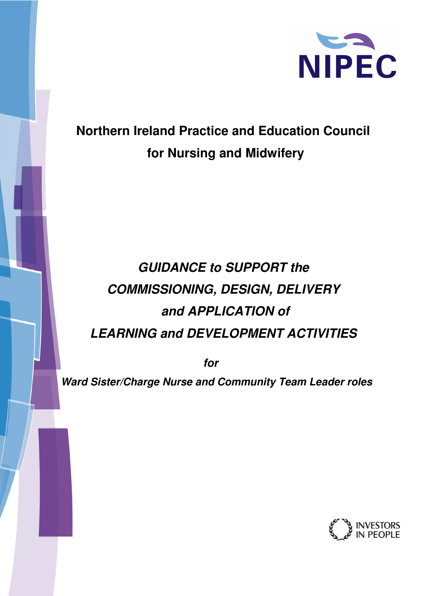

## **Northern Ireland Practice and Education Council for Nursing and Midwifery**

# **GUIDANCE to SUPPORT the COMMISSIONING, DESIGN, DELIVERY and APPLICATION of LEARNING and DEVELOPMENT ACTIVITIES**

**for** 

 **Ward Sister/Charge Nurse and Community Team Leader roles** 

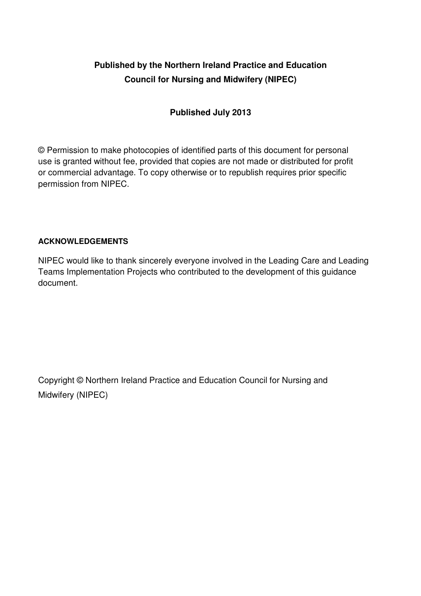## **Published by the Northern Ireland Practice and Education Council for Nursing and Midwifery (NIPEC)**

#### **Published July 2013**

© Permission to make photocopies of identified parts of this document for personal use is granted without fee, provided that copies are not made or distributed for profit or commercial advantage. To copy otherwise or to republish requires prior specific permission from NIPEC.

#### **ACKNOWLEDGEMENTS**

NIPEC would like to thank sincerely everyone involved in the Leading Care and Leading Teams Implementation Projects who contributed to the development of this guidance document.

Copyright © Northern Ireland Practice and Education Council for Nursing and Midwifery (NIPEC)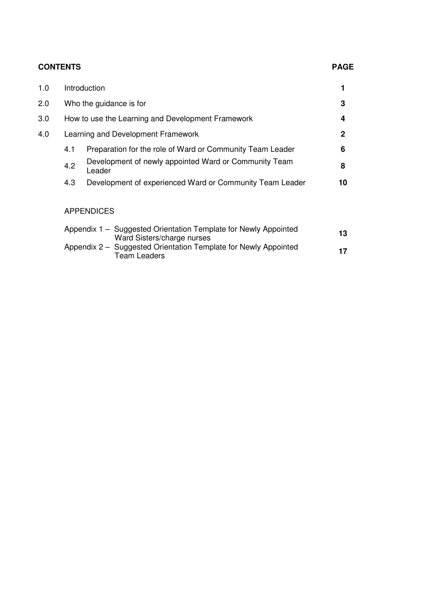#### **CONTENTS PAGE**

| 1.0 |     | Introduction                                                                                  |              |
|-----|-----|-----------------------------------------------------------------------------------------------|--------------|
| 2.0 |     | Who the guidance is for                                                                       | 3            |
| 3.0 |     | How to use the Learning and Development Framework                                             | 4            |
| 4.0 |     | Learning and Development Framework                                                            | $\mathbf{2}$ |
|     | 4.1 | Preparation for the role of Ward or Community Team Leader                                     | 6            |
|     | 4.2 | Development of newly appointed Ward or Community Team<br>Leader                               | 8            |
|     | 4.3 | Development of experienced Ward or Community Team Leader                                      | 10           |
|     |     | <b>APPENDICES</b>                                                                             |              |
|     |     |                                                                                               |              |
|     |     | Appendix 1 – Suggested Orientation Template for Newly Appointed<br>Ward Sisters/charge nurses | 13           |

Appendix 2 – Suggested Orientation Template for Newly Appointed Team Leaders **<sup>17</sup>**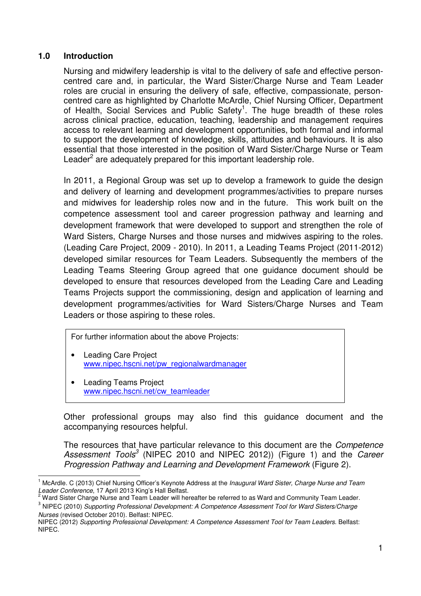#### **1.0 Introduction**

Nursing and midwifery leadership is vital to the delivery of safe and effective personcentred care and, in particular, the Ward Sister/Charge Nurse and Team Leader roles are crucial in ensuring the delivery of safe, effective, compassionate, personcentred care as highlighted by Charlotte McArdle, Chief Nursing Officer, Department of Health, Social Services and Public Safety<sup>1</sup>. The huge breadth of these roles across clinical practice, education, teaching, leadership and management requires access to relevant learning and development opportunities, both formal and informal to support the development of knowledge, skills, attitudes and behaviours. It is also essential that those interested in the position of Ward Sister/Charge Nurse or Team Leader $^2$  are adequately prepared for this important leadership role.

In 2011, a Regional Group was set up to develop a framework to guide the design and delivery of learning and development programmes/activities to prepare nurses and midwives for leadership roles now and in the future. This work built on the competence assessment tool and career progression pathway and learning and development framework that were developed to support and strengthen the role of Ward Sisters, Charge Nurses and those nurses and midwives aspiring to the roles. (Leading Care Project, 2009 - 2010). In 2011, a Leading Teams Project (2011-2012) developed similar resources for Team Leaders. Subsequently the members of the Leading Teams Steering Group agreed that one guidance document should be developed to ensure that resources developed from the Leading Care and Leading Teams Projects support the commissioning, design and application of learning and development programmes/activities for Ward Sisters/Charge Nurses and Team Leaders or those aspiring to these roles.

For further information about the above Projects:

- Leading Care Project www.nipec.hscni.net/pw\_regionalwardmanager
- Leading Teams Project www.nipec.hscni.net/cw\_teamleader

l

Other professional groups may also find this guidance document and the accompanying resources helpful.

The resources that have particular relevance to this document are the *Competence* Assessment Tools<sup>3</sup> (NIPEC 2010 and NIPEC 2012)) (Figure 1) and the Career Progression Pathway and Learning and Development Framework (Figure 2).

<sup>&</sup>lt;sup>1</sup> McArdle. C (2013) Chief Nursing Officer's Keynote Address at the Inaugural Ward Sister, Charge Nurse and Team Leader Conference, 17 April 2013 King's Hall Belfast.<br><sup>2</sup> Werd Sister Charge Nures and Team Loader will ber

Ward Sister Charge Nurse and Team Leader will hereafter be referred to as Ward and Community Team Leader.

<sup>&</sup>lt;sup>3</sup> NIPEC (2010) Supporting Professional Development: A Competence Assessment Tool for Ward Sisters/Charge Nurses (revised October 2010). Belfast: NIPEC.

NIPEC (2012) Supporting Professional Development: A Competence Assessment Tool for Team Leaders. Belfast: NIPEC.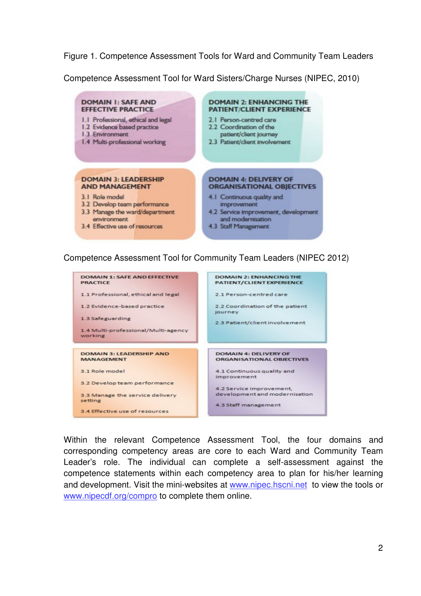Figure 1. Competence Assessment Tools for Ward and Community Team Leaders

Competence Assessment Tool for Ward Sisters/Charge Nurses (NIPEC, 2010)



#### Competence Assessment Tool for Community Team Leaders (NIPEC 2012)



Within the relevant Competence Assessment Tool, the four domains and corresponding competency areas are core to each Ward and Community Team Leader's role. The individual can complete a self-assessment against the competence statements within each competency area to plan for his/her learning and development. Visit the mini-websites at www.nipec.hscni.net to view the tools or www.nipecdf.org/compro to complete them online.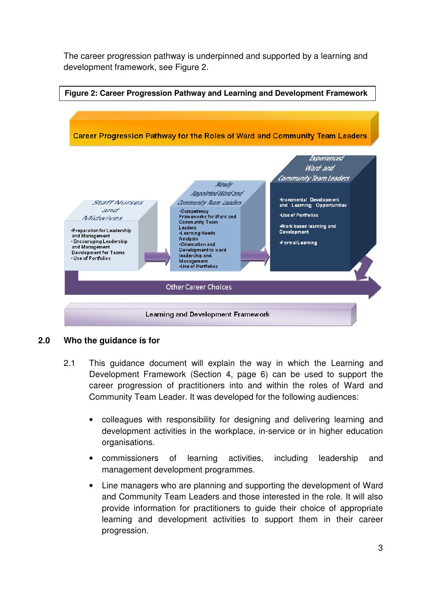The career progression pathway is underpinned and supported by a learning and development framework, see Figure 2.



#### **2.0 Who the guidance is for**

- 2.1 This guidance document will explain the way in which the Learning and Development Framework (Section 4, page 6) can be used to support the career progression of practitioners into and within the roles of Ward and Community Team Leader. It was developed for the following audiences:
	- colleagues with responsibility for designing and delivering learning and development activities in the workplace, in-service or in higher education organisations.
	- commissioners of learning activities, including leadership and management development programmes.
	- Line managers who are planning and supporting the development of Ward and Community Team Leaders and those interested in the role. It will also provide information for practitioners to guide their choice of appropriate learning and development activities to support them in their career progression.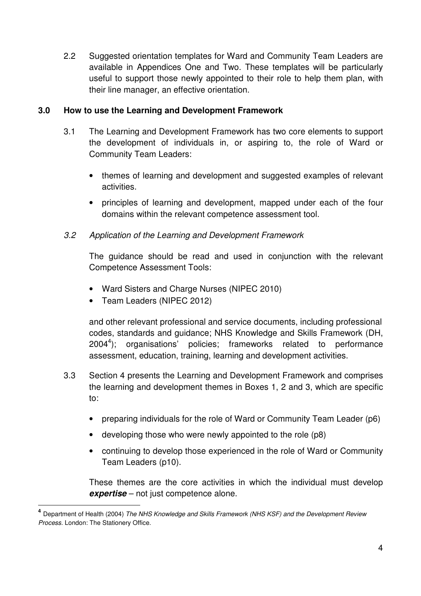2.2 Suggested orientation templates for Ward and Community Team Leaders are available in Appendices One and Two. These templates will be particularly useful to support those newly appointed to their role to help them plan, with their line manager, an effective orientation.

#### **3.0 How to use the Learning and Development Framework**

- 3.1 The Learning and Development Framework has two core elements to support the development of individuals in, or aspiring to, the role of Ward or Community Team Leaders:
	- themes of learning and development and suggested examples of relevant activities.
	- principles of learning and development, mapped under each of the four domains within the relevant competence assessment tool.
- 3.2 Application of the Learning and Development Framework

The guidance should be read and used in conjunction with the relevant Competence Assessment Tools:

- Ward Sisters and Charge Nurses (NIPEC 2010)
- Team Leaders (NIPEC 2012)

l

and other relevant professional and service documents, including professional codes, standards and guidance; NHS Knowledge and Skills Framework (DH, 2004<sup>4</sup>); organisations' policies; frameworks related to performance assessment, education, training, learning and development activities.

- 3.3 Section 4 presents the Learning and Development Framework and comprises the learning and development themes in Boxes 1, 2 and 3, which are specific to:
	- preparing individuals for the role of Ward or Community Team Leader (p6)
	- developing those who were newly appointed to the role (p8)
	- continuing to develop those experienced in the role of Ward or Community Team Leaders (p10).

These themes are the core activities in which the individual must develop **expertise** – not just competence alone.

**<sup>4</sup>** Department of Health (2004) The NHS Knowledge and Skills Framework (NHS KSF) and the Development Review Process. London: The Stationery Office.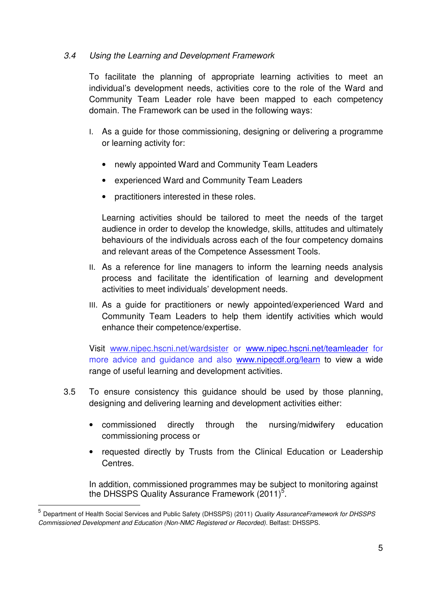#### 3.4 Using the Learning and Development Framework

To facilitate the planning of appropriate learning activities to meet an individual's development needs, activities core to the role of the Ward and Community Team Leader role have been mapped to each competency domain. The Framework can be used in the following ways:

- I. As a guide for those commissioning, designing or delivering a programme or learning activity for:
	- newly appointed Ward and Community Team Leaders
	- experienced Ward and Community Team Leaders
	- practitioners interested in these roles.

Learning activities should be tailored to meet the needs of the target audience in order to develop the knowledge, skills, attitudes and ultimately behaviours of the individuals across each of the four competency domains and relevant areas of the Competence Assessment Tools.

- II. As a reference for line managers to inform the learning needs analysis process and facilitate the identification of learning and development activities to meet individuals' development needs.
- III. As a guide for practitioners or newly appointed/experienced Ward and Community Team Leaders to help them identify activities which would enhance their competence/expertise.

Visit www.nipec.hscni.net/wardsister or www.nipec.hscni.net/teamleader for more advice and guidance and also www.nipecdf.org/learn to view a wide range of useful learning and development activities.

- 3.5 To ensure consistency this guidance should be used by those planning, designing and delivering learning and development activities either:
	- commissioned directly through the nursing/midwifery education commissioning process or
	- requested directly by Trusts from the Clinical Education or Leadership **Centres**

In addition, commissioned programmes may be subject to monitoring against the DHSSPS Quality Assurance Framework  $(2011)^5$ .

l

<sup>&</sup>lt;sup>5</sup> Department of Health Social Services and Public Safety (DHSSPS) (2011) *Quality AssuranceFramework for DHSSPS* Commissioned Development and Education (Non-NMC Registered or Recorded). Belfast: DHSSPS.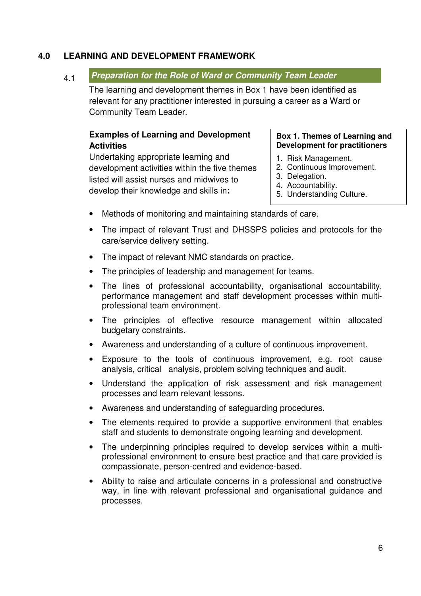#### **4.0 LEARNING AND DEVELOPMENT FRAMEWORK**

#### 4.1 **Preparation for the Role of Ward or Community Team Leader**

The learning and development themes in Box 1 have been identified as relevant for any practitioner interested in pursuing a career as a Ward or Community Team Leader.

#### **Examples of Learning and Development Activities**

Undertaking appropriate learning and development activities within the five themes listed will assist nurses and midwives to develop their knowledge and skills in**:** 

#### **Box 1. Themes of Learning and Development for practitioners**

- 1. Risk Management.
- 2. Continuous Improvement.
- 3. Delegation.
- 4. Accountability.
- 5. Understanding Culture.
- Methods of monitoring and maintaining standards of care.
- The impact of relevant Trust and DHSSPS policies and protocols for the care/service delivery setting.
- The impact of relevant NMC standards on practice.
- The principles of leadership and management for teams.
- The lines of professional accountability, organisational accountability, performance management and staff development processes within multiprofessional team environment.
- The principles of effective resource management within allocated budgetary constraints.
- Awareness and understanding of a culture of continuous improvement.
- Exposure to the tools of continuous improvement, e.g. root cause analysis, critical analysis, problem solving techniques and audit.
- Understand the application of risk assessment and risk management processes and learn relevant lessons.
- Awareness and understanding of safeguarding procedures.
- The elements required to provide a supportive environment that enables staff and students to demonstrate ongoing learning and development.
- The underpinning principles required to develop services within a multiprofessional environment to ensure best practice and that care provided is compassionate, person-centred and evidence-based.
- Ability to raise and articulate concerns in a professional and constructive way, in line with relevant professional and organisational guidance and processes.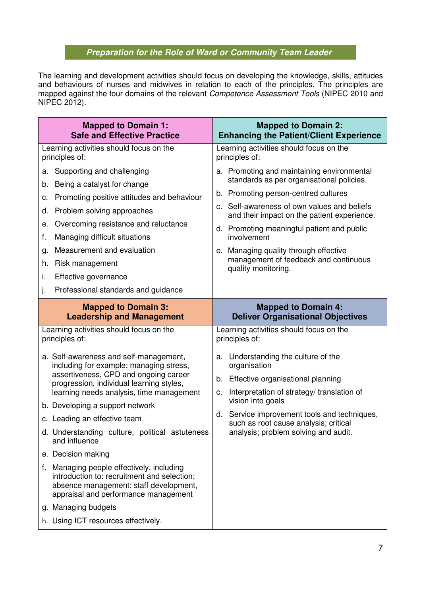### **Preparation for the Role of Ward or Community Team Leader**

The learning and development activities should focus on developing the knowledge, skills, attitudes and behaviours of nurses and midwives in relation to each of the principles. The principles are mapped against the four domains of the relevant *Competence Assessment Tools* (NIPEC 2010 and NIPEC 2012).

| <b>Mapped to Domain 1:</b>                                                                                                                                                                                                                                                                                                                                                                                                                                                                                                                                                                                                                                                                 | <b>Mapped to Domain 2:</b>                                                                                                                                                                                                                                                                                                                                                                             |
|--------------------------------------------------------------------------------------------------------------------------------------------------------------------------------------------------------------------------------------------------------------------------------------------------------------------------------------------------------------------------------------------------------------------------------------------------------------------------------------------------------------------------------------------------------------------------------------------------------------------------------------------------------------------------------------------|--------------------------------------------------------------------------------------------------------------------------------------------------------------------------------------------------------------------------------------------------------------------------------------------------------------------------------------------------------------------------------------------------------|
| <b>Safe and Effective Practice</b>                                                                                                                                                                                                                                                                                                                                                                                                                                                                                                                                                                                                                                                         | <b>Enhancing the Patient/Client Experience</b>                                                                                                                                                                                                                                                                                                                                                         |
| Learning activities should focus on the                                                                                                                                                                                                                                                                                                                                                                                                                                                                                                                                                                                                                                                    | Learning activities should focus on the                                                                                                                                                                                                                                                                                                                                                                |
| principles of:                                                                                                                                                                                                                                                                                                                                                                                                                                                                                                                                                                                                                                                                             | principles of:                                                                                                                                                                                                                                                                                                                                                                                         |
| Supporting and challenging<br>а.<br>Being a catalyst for change<br>b.<br>Promoting positive attitudes and behaviour<br>c.<br>Problem solving approaches<br>d.<br>Overcoming resistance and reluctance<br>е.<br>Managing difficult situations<br>f.<br>Measurement and evaluation<br>g.<br>Risk management<br>h.<br>i.<br>Effective governance<br>Professional standards and guidance<br>j.                                                                                                                                                                                                                                                                                                 | a. Promoting and maintaining environmental<br>standards as per organisational policies.<br>b. Promoting person-centred cultures<br>Self-awareness of own values and beliefs<br>C.<br>and their impact on the patient experience.<br>d. Promoting meaningful patient and public<br>involvement<br>e. Managing quality through effective<br>management of feedback and continuous<br>quality monitoring. |
| <b>Mapped to Domain 3:</b>                                                                                                                                                                                                                                                                                                                                                                                                                                                                                                                                                                                                                                                                 | <b>Mapped to Domain 4:</b>                                                                                                                                                                                                                                                                                                                                                                             |
| <b>Leadership and Management</b>                                                                                                                                                                                                                                                                                                                                                                                                                                                                                                                                                                                                                                                           | <b>Deliver Organisational Objectives</b>                                                                                                                                                                                                                                                                                                                                                               |
| Learning activities should focus on the<br>principles of:<br>a. Self-awareness and self-management,<br>including for example: managing stress,<br>assertiveness, CPD and ongoing career<br>progression, individual learning styles,<br>learning needs analysis, time management<br>b. Developing a support network<br>c. Leading an effective team<br>d. Understanding culture, political astuteness<br>and influence<br>e. Decision making<br>Managing people effectively, including<br>f.<br>introduction to: recruitment and selection;<br>absence management; staff development,<br>appraisal and performance management<br>g. Managing budgets<br>h. Using ICT resources effectively. | Learning activities should focus on the<br>principles of:<br>Understanding the culture of the<br>a.<br>organisation<br>Effective organisational planning<br>b.<br>Interpretation of strategy/translation of<br>c.<br>vision into goals<br>d. Service improvement tools and techniques,<br>such as root cause analysis; critical<br>analysis; problem solving and audit.                                |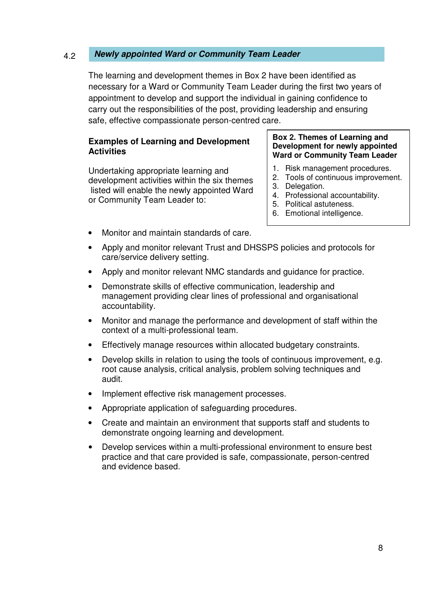#### 4.2 **Newly appointed Ward or Community Team Leader**

The learning and development themes in Box 2 have been identified as necessary for a Ward or Community Team Leader during the first two years of appointment to develop and support the individual in gaining confidence to carry out the responsibilities of the post, providing leadership and ensuring safe, effective compassionate person-centred care.

#### **Examples of Learning and Development Activities**

Undertaking appropriate learning and development activities within the six themes listed will enable the newly appointed Ward or Community Team Leader to:

#### **Box 2. Themes of Learning and Development for newly appointed Ward or Community Team Leader**

- 1. Risk management procedures.
- 2. Tools of continuous improvement.
- 3. Delegation.
- 4. Professional accountability.
- 5. Political astuteness.
- 6. Emotional intelligence.
- Monitor and maintain standards of care.
- Apply and monitor relevant Trust and DHSSPS policies and protocols for care/service delivery setting.
- Apply and monitor relevant NMC standards and guidance for practice.
- Demonstrate skills of effective communication, leadership and management providing clear lines of professional and organisational accountability.
- Monitor and manage the performance and development of staff within the context of a multi-professional team.
- Effectively manage resources within allocated budgetary constraints.
- Develop skills in relation to using the tools of continuous improvement, e.g. root cause analysis, critical analysis, problem solving techniques and audit.
- Implement effective risk management processes.
- Appropriate application of safeguarding procedures.
- Create and maintain an environment that supports staff and students to demonstrate ongoing learning and development.
- Develop services within a multi-professional environment to ensure best practice and that care provided is safe, compassionate, person-centred and evidence based.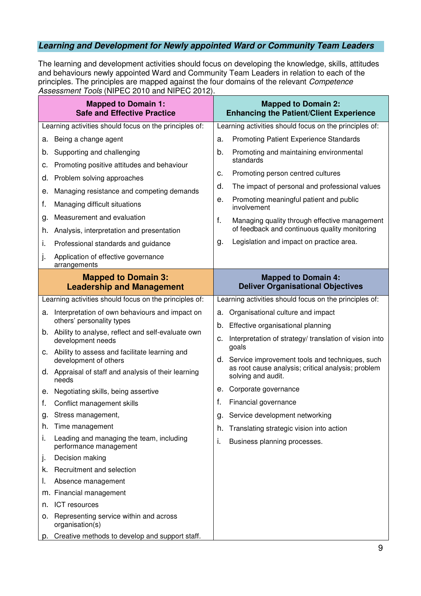### **Learning and Development for Newly appointed Ward or Community Team Leaders**

The learning and development activities should focus on developing the knowledge, skills, attitudes and behaviours newly appointed Ward and Community Team Leaders in relation to each of the principles. The principles are mapped against the four domains of the relevant Competence Assessment Tools (NIPEC 2010 and NIPEC 2012).

|    | <b>Mapped to Domain 1:</b><br><b>Safe and Effective Practice</b>          |    | <b>Mapped to Domain 2:</b><br><b>Enhancing the Patient/Client Experience</b> |
|----|---------------------------------------------------------------------------|----|------------------------------------------------------------------------------|
|    | Learning activities should focus on the principles of:                    |    | Learning activities should focus on the principles of:                       |
| а. | Being a change agent                                                      | a. | <b>Promoting Patient Experience Standards</b>                                |
| b. | Supporting and challenging                                                | b. | Promoting and maintaining environmental<br>standards                         |
| с. | Promoting positive attitudes and behaviour                                | c. | Promoting person centred cultures                                            |
| d. | Problem solving approaches                                                | d. | The impact of personal and professional values                               |
| е. | Managing resistance and competing demands                                 | е. | Promoting meaningful patient and public                                      |
| f. | Managing difficult situations                                             |    | involvement                                                                  |
| g. | Measurement and evaluation                                                | f. | Managing quality through effective management                                |
| h. | Analysis, interpretation and presentation                                 |    | of feedback and continuous quality monitoring                                |
| i. | Professional standards and guidance                                       | g. | Legislation and impact on practice area.                                     |
| j. | Application of effective governance<br>arrangements                       |    |                                                                              |
|    | <b>Mapped to Domain 3:</b><br><b>Leadership and Management</b>            |    | <b>Mapped to Domain 4:</b><br><b>Deliver Organisational Objectives</b>       |
|    | Learning activities should focus on the principles of:                    |    | Learning activities should focus on the principles of:                       |
| а. | Interpretation of own behaviours and impact on                            | a. | Organisational culture and impact                                            |
|    | others' personality types                                                 |    | b. Effective organisational planning                                         |
|    | b. Ability to analyse, reflect and self-evaluate own<br>development needs | с. | Interpretation of strategy/ translation of vision into<br>goals              |
|    | c. Ability to assess and facilitate learning and<br>development of others |    | d. Service improvement tools and techniques, such                            |
|    | d. Appraisal of staff and analysis of their learning<br>needs             |    | as root cause analysis; critical analysis; problem<br>solving and audit.     |
|    | e. Negotiating skills, being assertive                                    | е. | Corporate governance                                                         |
| f. | Conflict management skills                                                | f. | Financial governance                                                         |
| g. | Stress management,                                                        | g. | Service development networking                                               |
| h. | Time management                                                           | h. | Translating strategic vision into action                                     |
| ı. | Leading and managing the team, including<br>performance management        | i. | Business planning processes.                                                 |
| j. | Decision making                                                           |    |                                                                              |
| k. | Recruitment and selection                                                 |    |                                                                              |
| ı. | Absence management                                                        |    |                                                                              |
|    | m. Financial management                                                   |    |                                                                              |
| n. | ICT resources                                                             |    |                                                                              |
| 0. | Representing service within and across<br>organisation(s)                 |    |                                                                              |
|    | p. Creative methods to develop and support staff.                         |    |                                                                              |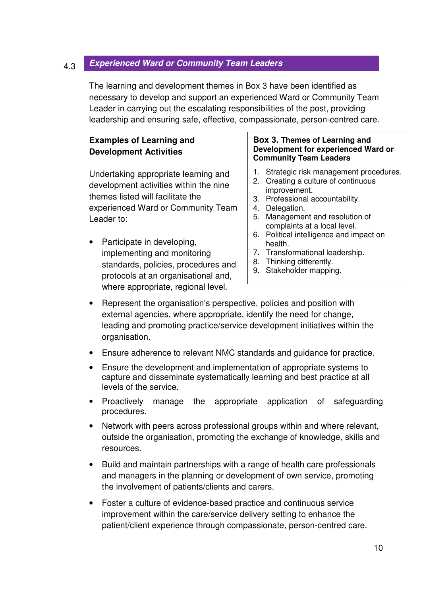#### 4.3 **Experienced Ward or Community Team Leaders**

The learning and development themes in Box 3 have been identified as necessary to develop and support an experienced Ward or Community Team Leader in carrying out the escalating responsibilities of the post, providing leadership and ensuring safe, effective, compassionate, person-centred care.

#### **Examples of Learning and Development Activities**

Undertaking appropriate learning and development activities within the nine themes listed will facilitate the experienced Ward or Community Team Leader to:

• Participate in developing, implementing and monitoring standards, policies, procedures and protocols at an organisational and, where appropriate, regional level.

#### **Box 3. Themes of Learning and Development for experienced Ward or Community Team Leaders**

- 1. Strategic risk management procedures.
- 2. Creating a culture of continuous improvement.
- 3. Professional accountability.
- 4. Delegation.
- 5. Management and resolution of complaints at a local level.
- 6. Political intelligence and impact on health.
- 7. Transformational leadership.
- 8. Thinking differently.
- 9. Stakeholder mapping.
- Represent the organisation's perspective, policies and position with external agencies, where appropriate, identify the need for change, leading and promoting practice/service development initiatives within the organisation.
- Ensure adherence to relevant NMC standards and guidance for practice.
- Ensure the development and implementation of appropriate systems to capture and disseminate systematically learning and best practice at all levels of the service.
- Proactively manage the appropriate application of safeguarding procedures.
- Network with peers across professional groups within and where relevant, outside the organisation, promoting the exchange of knowledge, skills and resources.
- Build and maintain partnerships with a range of health care professionals and managers in the planning or development of own service, promoting the involvement of patients/clients and carers.
- Foster a culture of evidence-based practice and continuous service improvement within the care/service delivery setting to enhance the patient/client experience through compassionate, person-centred care.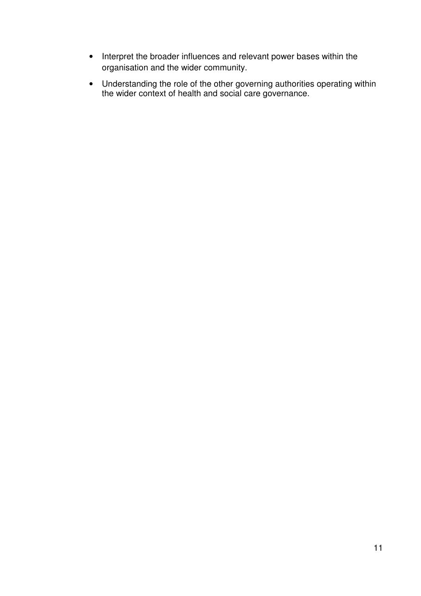- Interpret the broader influences and relevant power bases within the organisation and the wider community.
- Understanding the role of the other governing authorities operating within the wider context of health and social care governance.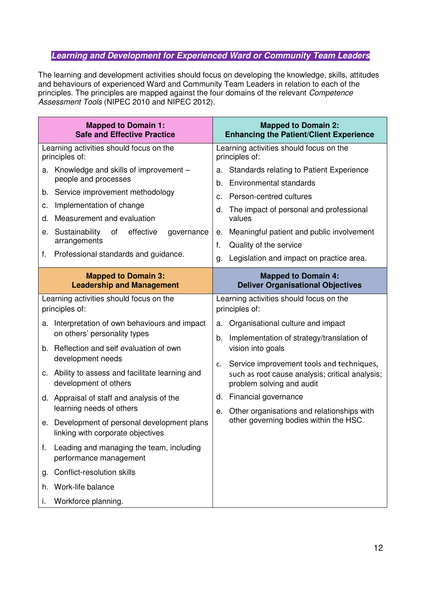#### **Learning and Development for Experienced Ward or Community Team Leaders**

The learning and development activities should focus on developing the knowledge, skills, attitudes and behaviours of experienced Ward and Community Team Leaders in relation to each of the principles. The principles are mapped against the four domains of the relevant Competence Assessment Tools (NIPEC 2010 and NIPEC 2012).

| <b>Mapped to Domain 1:</b><br><b>Safe and Effective Practice</b>                                                    | <b>Mapped to Domain 2:</b><br><b>Enhancing the Patient/Client Experience</b>                                                      |
|---------------------------------------------------------------------------------------------------------------------|-----------------------------------------------------------------------------------------------------------------------------------|
| Learning activities should focus on the<br>principles of:                                                           | Learning activities should focus on the<br>principles of:                                                                         |
| Knowledge and skills of improvement -<br>a.<br>people and processes                                                 | Standards relating to Patient Experience<br>a.<br>Environmental standards<br>b.                                                   |
| Service improvement methodology<br>b.<br>Implementation of change                                                   | Person-centred cultures<br>C.                                                                                                     |
| c.<br>Measurement and evaluation<br>d.                                                                              | The impact of personal and professional<br>d.<br>values                                                                           |
| Sustainability<br>of<br>effective<br>governance<br>е.<br>arrangements<br>Professional standards and guidance.<br>f. | Meaningful patient and public involvement<br>е.<br>Quality of the service<br>f.<br>Legislation and impact on practice area.<br>g. |
| <b>Mapped to Domain 3:</b><br><b>Leadership and Management</b>                                                      | <b>Mapped to Domain 4:</b><br><b>Deliver Organisational Objectives</b>                                                            |
| Learning activities should focus on the<br>principles of:                                                           | Learning activities should focus on the<br>principles of:                                                                         |
| Interpretation of own behaviours and impact<br>a.<br>on others' personality types                                   | Organisational culture and impact<br>a.                                                                                           |
| b. Reflection and self evaluation of own                                                                            | Implementation of strategy/translation of<br>b.<br>vision into goals                                                              |
| development needs<br>c. Ability to assess and facilitate learning and<br>development of others                      | Service improvement tools and techniques,<br>c.<br>such as root cause analysis; critical analysis;<br>problem solving and audit   |
| d. Appraisal of staff and analysis of the                                                                           | d. Financial governance                                                                                                           |
| learning needs of others<br>e. Development of personal development plans<br>linking with corporate objectives       | Other organisations and relationships with<br>е.<br>other governing bodies within the HSC.                                        |
| Leading and managing the team, including<br>f.<br>performance management                                            |                                                                                                                                   |
| Conflict-resolution skills<br>g.                                                                                    |                                                                                                                                   |
| Work-life balance<br>h.                                                                                             |                                                                                                                                   |
| Workforce planning.<br>ı.                                                                                           |                                                                                                                                   |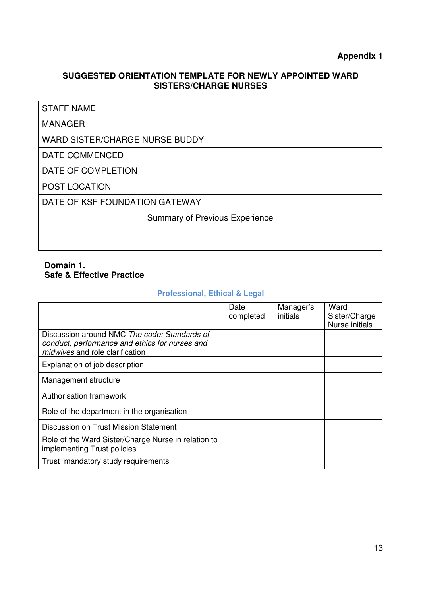#### **SUGGESTED ORIENTATION TEMPLATE FOR NEWLY APPOINTED WARD SISTERS/CHARGE NURSES**

#### STAFF NAME

#### MANAGER

WARD SISTER/CHARGE NURSE BUDDY

#### DATE COMMENCED

DATE OF COMPLETION

POST LOCATION

DATE OF KSF FOUNDATION GATEWAY

Summary of Previous Experience

#### **Domain 1. Safe & Effective Practice**

#### **Professional, Ethical & Legal**

|                                                                                                                                   | Date<br>completed | Manager's<br>initials | Ward<br>Sister/Charge<br>Nurse initials |
|-----------------------------------------------------------------------------------------------------------------------------------|-------------------|-----------------------|-----------------------------------------|
| Discussion around NMC The code: Standards of<br>conduct, performance and ethics for nurses and<br>midwives and role clarification |                   |                       |                                         |
| Explanation of job description                                                                                                    |                   |                       |                                         |
| Management structure                                                                                                              |                   |                       |                                         |
| Authorisation framework                                                                                                           |                   |                       |                                         |
| Role of the department in the organisation                                                                                        |                   |                       |                                         |
| Discussion on Trust Mission Statement                                                                                             |                   |                       |                                         |
| Role of the Ward Sister/Charge Nurse in relation to<br>implementing Trust policies                                                |                   |                       |                                         |
| Trust mandatory study requirements                                                                                                |                   |                       |                                         |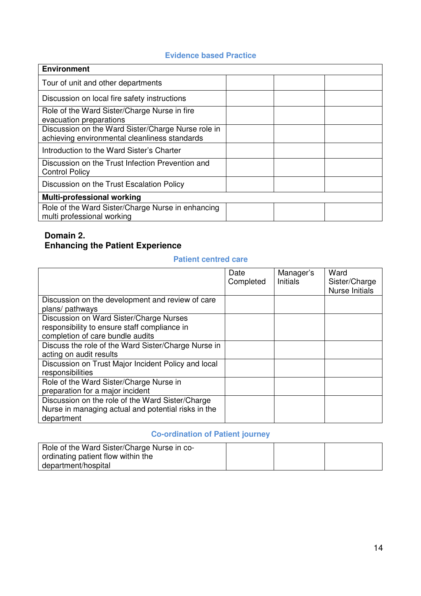#### **Evidence based Practice**

| <b>Environment</b>                                                                                  |  |
|-----------------------------------------------------------------------------------------------------|--|
| Tour of unit and other departments                                                                  |  |
| Discussion on local fire safety instructions                                                        |  |
| Role of the Ward Sister/Charge Nurse in fire<br>evacuation preparations                             |  |
| Discussion on the Ward Sister/Charge Nurse role in<br>achieving environmental cleanliness standards |  |
| Introduction to the Ward Sister's Charter                                                           |  |
| Discussion on the Trust Infection Prevention and<br><b>Control Policy</b>                           |  |
| Discussion on the Trust Escalation Policy                                                           |  |
| Multi-professional working                                                                          |  |
| Role of the Ward Sister/Charge Nurse in enhancing<br>multi professional working                     |  |

#### **Domain 2. Enhancing the Patient Experience**

#### **Patient centred care**

|                                                                                                                             | Date<br>Completed | Manager's<br><b>Initials</b> | Ward<br>Sister/Charge<br><b>Nurse Initials</b> |
|-----------------------------------------------------------------------------------------------------------------------------|-------------------|------------------------------|------------------------------------------------|
| Discussion on the development and review of care<br>plans/ pathways                                                         |                   |                              |                                                |
| Discussion on Ward Sister/Charge Nurses<br>responsibility to ensure staff compliance in<br>completion of care bundle audits |                   |                              |                                                |
| Discuss the role of the Ward Sister/Charge Nurse in<br>acting on audit results                                              |                   |                              |                                                |
| Discussion on Trust Major Incident Policy and local<br>responsibilities                                                     |                   |                              |                                                |
| Role of the Ward Sister/Charge Nurse in<br>preparation for a major incident                                                 |                   |                              |                                                |
| Discussion on the role of the Ward Sister/Charge<br>Nurse in managing actual and potential risks in the<br>department       |                   |                              |                                                |

### **Co-ordination of Patient journey**

| Role of the Ward Sister/Charge Nurse in co- |  |  |
|---------------------------------------------|--|--|
| ordinating patient flow within the          |  |  |
| department/hospital                         |  |  |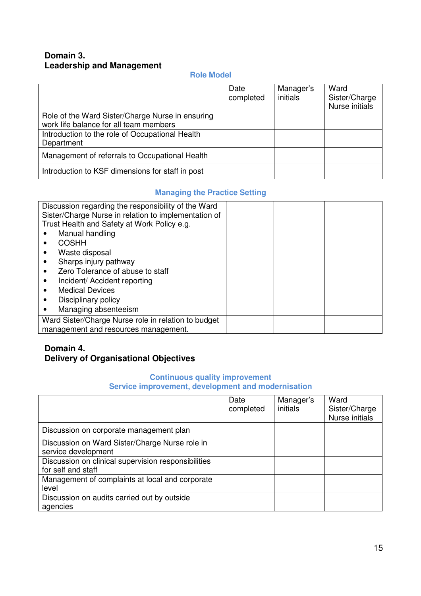#### **Domain 3. Leadership and Management**

#### **Role Model**

|                                                                                            | Date<br>completed | Manager's<br>initials | Ward<br>Sister/Charge<br>Nurse initials |
|--------------------------------------------------------------------------------------------|-------------------|-----------------------|-----------------------------------------|
| Role of the Ward Sister/Charge Nurse in ensuring<br>work life balance for all team members |                   |                       |                                         |
| Introduction to the role of Occupational Health<br>Department                              |                   |                       |                                         |
| Management of referrals to Occupational Health                                             |                   |                       |                                         |
| Introduction to KSF dimensions for staff in post                                           |                   |                       |                                         |

#### **Managing the Practice Setting**

| Discussion regarding the responsibility of the Ward<br>Sister/Charge Nurse in relation to implementation of<br>Trust Health and Safety at Work Policy e.g. |  |  |
|------------------------------------------------------------------------------------------------------------------------------------------------------------|--|--|
| Manual handling                                                                                                                                            |  |  |
| <b>COSHH</b>                                                                                                                                               |  |  |
| Waste disposal                                                                                                                                             |  |  |
| Sharps injury pathway                                                                                                                                      |  |  |
| Zero Tolerance of abuse to staff                                                                                                                           |  |  |
| Incident/ Accident reporting                                                                                                                               |  |  |
| <b>Medical Devices</b>                                                                                                                                     |  |  |
| Disciplinary policy                                                                                                                                        |  |  |
| Managing absenteeism                                                                                                                                       |  |  |
| Ward Sister/Charge Nurse role in relation to budget                                                                                                        |  |  |
| management and resources management.                                                                                                                       |  |  |

#### **Domain 4. Delivery of Organisational Objectives**

#### **Continuous quality improvement Service improvement, development and modernisation**

|                                                                           | Date<br>completed | Manager's<br>initials | Ward<br>Sister/Charge<br>Nurse initials |
|---------------------------------------------------------------------------|-------------------|-----------------------|-----------------------------------------|
| Discussion on corporate management plan                                   |                   |                       |                                         |
| Discussion on Ward Sister/Charge Nurse role in<br>service development     |                   |                       |                                         |
| Discussion on clinical supervision responsibilities<br>for self and staff |                   |                       |                                         |
| Management of complaints at local and corporate<br>level                  |                   |                       |                                         |
| Discussion on audits carried out by outside<br>agencies                   |                   |                       |                                         |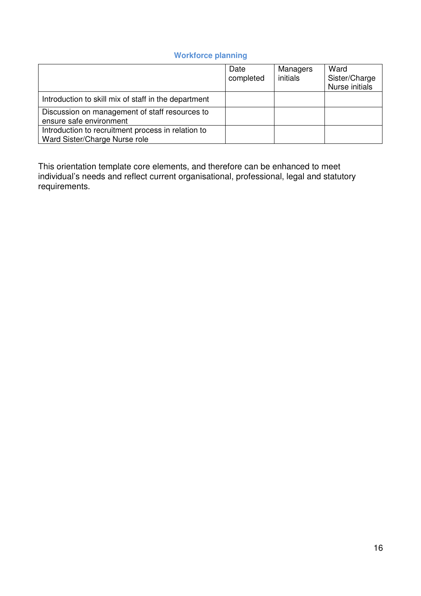#### **Workforce planning**

|                                                                                     | Date<br>completed | Managers<br>initials | Ward<br>Sister/Charge<br>Nurse initials |
|-------------------------------------------------------------------------------------|-------------------|----------------------|-----------------------------------------|
| Introduction to skill mix of staff in the department                                |                   |                      |                                         |
| Discussion on management of staff resources to<br>ensure safe environment           |                   |                      |                                         |
| Introduction to recruitment process in relation to<br>Ward Sister/Charge Nurse role |                   |                      |                                         |

This orientation template core elements, and therefore can be enhanced to meet individual's needs and reflect current organisational, professional, legal and statutory requirements.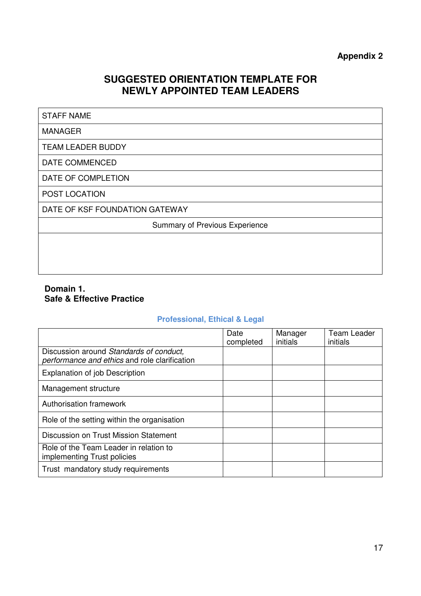#### **Appendix 2**

### **SUGGESTED ORIENTATION TEMPLATE FOR NEWLY APPOINTED TEAM LEADERS**

#### STAFF NAME

#### MANAGER

TEAM LEADER BUDDY

DATE COMMENCED

DATE OF COMPLETION

POST LOCATION

DATE OF KSF FOUNDATION GATEWAY

Summary of Previous Experience

#### **Domain 1. Safe & Effective Practice**

#### **Professional, Ethical & Legal**

|                                                                                          | Date<br>completed | Manager<br>initials | Team Leader<br>initials |
|------------------------------------------------------------------------------------------|-------------------|---------------------|-------------------------|
| Discussion around Standards of conduct,<br>performance and ethics and role clarification |                   |                     |                         |
| <b>Explanation of job Description</b>                                                    |                   |                     |                         |
| Management structure                                                                     |                   |                     |                         |
| Authorisation framework                                                                  |                   |                     |                         |
| Role of the setting within the organisation                                              |                   |                     |                         |
| Discussion on Trust Mission Statement                                                    |                   |                     |                         |
| Role of the Team Leader in relation to<br>implementing Trust policies                    |                   |                     |                         |
| Trust mandatory study requirements                                                       |                   |                     |                         |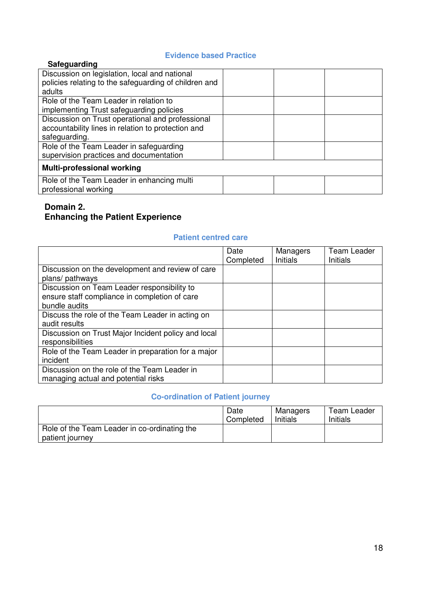#### **Evidence based Practice**

| Safeguarding                                                       |  |
|--------------------------------------------------------------------|--|
| Discussion on legislation, local and national                      |  |
| policies relating to the safeguarding of children and              |  |
| adults                                                             |  |
| Role of the Team Leader in relation to                             |  |
| implementing Trust safeguarding policies                           |  |
| Discussion on Trust operational and professional                   |  |
| accountability lines in relation to protection and                 |  |
| safeguarding.                                                      |  |
| Role of the Team Leader in safeguarding                            |  |
| supervision practices and documentation                            |  |
| <b>Multi-professional working</b>                                  |  |
| Role of the Team Leader in enhancing multi<br>professional working |  |
|                                                                    |  |

#### **Domain 2. Enhancing the Patient Experience**

#### **Patient centred care**

|                                                     | Date<br>Completed | Managers<br><b>Initials</b> | <b>Team Leader</b><br><b>Initials</b> |
|-----------------------------------------------------|-------------------|-----------------------------|---------------------------------------|
| Discussion on the development and review of care    |                   |                             |                                       |
| plans/ pathways                                     |                   |                             |                                       |
| Discussion on Team Leader responsibility to         |                   |                             |                                       |
| ensure staff compliance in completion of care       |                   |                             |                                       |
| bundle audits                                       |                   |                             |                                       |
| Discuss the role of the Team Leader in acting on    |                   |                             |                                       |
| audit results                                       |                   |                             |                                       |
| Discussion on Trust Major Incident policy and local |                   |                             |                                       |
| responsibilities                                    |                   |                             |                                       |
| Role of the Team Leader in preparation for a major  |                   |                             |                                       |
| incident                                            |                   |                             |                                       |
| Discussion on the role of the Team Leader in        |                   |                             |                                       |
| managing actual and potential risks                 |                   |                             |                                       |

#### **Co-ordination of Patient journey**

|                                              | Date<br>Completed | Managers<br>Initials | Team Leader<br>Initials |
|----------------------------------------------|-------------------|----------------------|-------------------------|
| Role of the Team Leader in co-ordinating the |                   |                      |                         |
| patient journey                              |                   |                      |                         |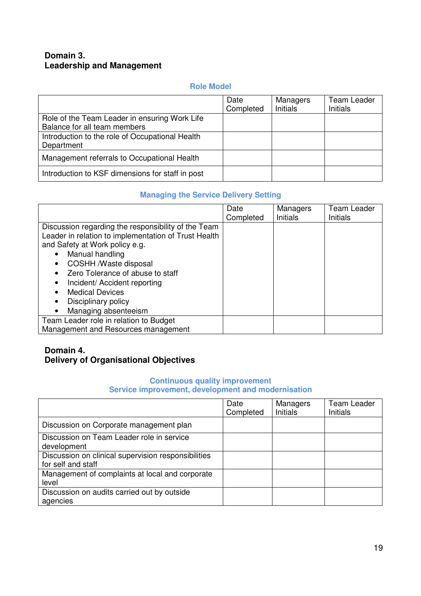#### **Domain 3. Leadership and Management**

#### **Role Model**

|                                                                               | Date<br>Completed | Managers<br><b>Initials</b> | <b>Team Leader</b><br>Initials |
|-------------------------------------------------------------------------------|-------------------|-----------------------------|--------------------------------|
| Role of the Team Leader in ensuring Work Life<br>Balance for all team members |                   |                             |                                |
| Introduction to the role of Occupational Health<br>Department                 |                   |                             |                                |
| Management referrals to Occupational Health                                   |                   |                             |                                |
| Introduction to KSF dimensions for staff in post                              |                   |                             |                                |

#### **Managing the Service Delivery Setting**

|                                                      | Date      | Managers | <b>Team Leader</b> |
|------------------------------------------------------|-----------|----------|--------------------|
|                                                      | Completed | Initials | Initials           |
| Discussion regarding the responsibility of the Team  |           |          |                    |
| Leader in relation to implementation of Trust Health |           |          |                    |
| and Safety at Work policy e.g.                       |           |          |                    |
| Manual handling                                      |           |          |                    |
| COSHH /Waste disposal                                |           |          |                    |
| Zero Tolerance of abuse to staff<br>$\bullet$        |           |          |                    |
| Incident/ Accident reporting                         |           |          |                    |
| <b>Medical Devices</b>                               |           |          |                    |
| Disciplinary policy<br>$\bullet$                     |           |          |                    |
| Managing absenteeism                                 |           |          |                    |
| Team Leader role in relation to Budget               |           |          |                    |
| Management and Resources management                  |           |          |                    |

#### **Domain 4. Delivery of Organisational Objectives**

#### **Continuous quality improvement**

#### **Service improvement, development and modernisation**

|                                                                           | Date<br>Completed | Managers<br><b>Initials</b> | <b>Team Leader</b><br><b>Initials</b> |
|---------------------------------------------------------------------------|-------------------|-----------------------------|---------------------------------------|
| Discussion on Corporate management plan                                   |                   |                             |                                       |
| Discussion on Team Leader role in service<br>development                  |                   |                             |                                       |
| Discussion on clinical supervision responsibilities<br>for self and staff |                   |                             |                                       |
| Management of complaints at local and corporate<br>level                  |                   |                             |                                       |
| Discussion on audits carried out by outside<br>agencies                   |                   |                             |                                       |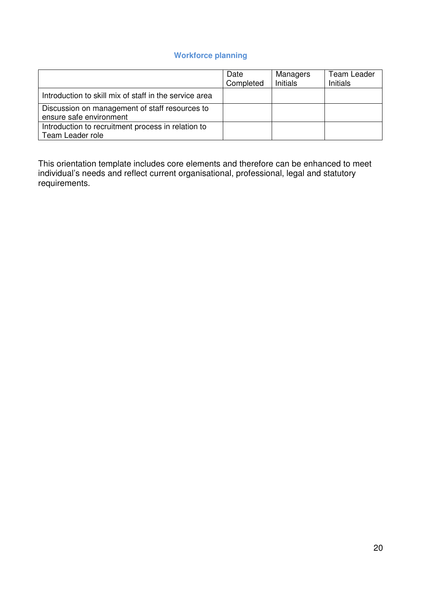#### **Workforce planning**

|                                                                           | Date<br>Completed | Managers<br>Initials | Team Leader<br>Initials |
|---------------------------------------------------------------------------|-------------------|----------------------|-------------------------|
| Introduction to skill mix of staff in the service area                    |                   |                      |                         |
| Discussion on management of staff resources to<br>ensure safe environment |                   |                      |                         |
| Introduction to recruitment process in relation to<br>Team Leader role    |                   |                      |                         |

This orientation template includes core elements and therefore can be enhanced to meet individual's needs and reflect current organisational, professional, legal and statutory requirements.